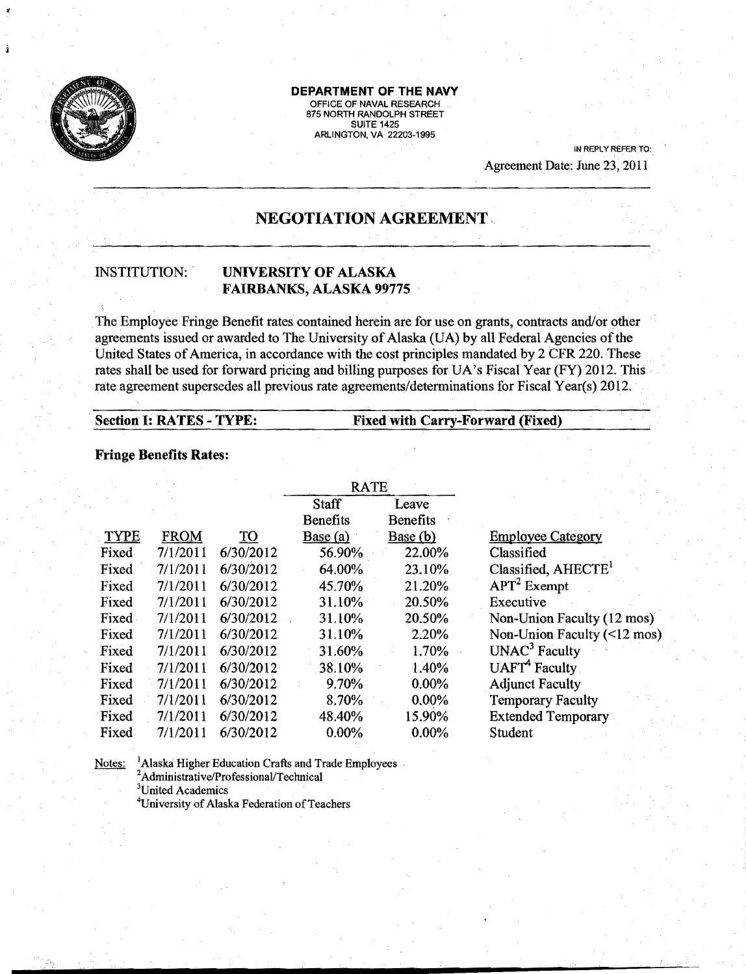

# **DEPARTMENT OF THE NAVY**

OFFICE OF NAVAL RESEARCH 875 NORTH RANDOLPH STREET **SUITE 1425** ARLINGTON. VA 22203-1995

> IN REPLY REFER TO: Agreement Date: June 23, 2011

# **NEGOTIATION AGREEMENT,**

## **INSTITUTION:**  $\blacksquare$  **<b>UNIVERSITY OF ALASKA FAIRBANKS,** ALASKA 99775

The Employee Fringe Benefit rates contained herein are for use on grants, contracts and/or other agreements issued or awarded to The University of Alaska (UA) by all Federal Agencies of the United States of America, in accordance with the cost principles mandated by 2 CFR 220. These rates shall be used for forward pricing and billing purposes for UA's Fiscal Year (FY) 2012. This rate agreement supersedes all previous rate agreements/determinations for Fiscal Year(s) 2012.

### **Section I: RATES - TYPE:**  Fixed with **Carry-Forward (Fixed)**

#### **Fringe Benefits Rates:**

|             |             |           | <b>RATE</b>              |                          |                                           |
|-------------|-------------|-----------|--------------------------|--------------------------|-------------------------------------------|
|             |             |           | Staff<br><b>Benefits</b> | Leave<br><b>Benefits</b> |                                           |
| <b>TYPE</b> | <b>FROM</b> | <b>TO</b> | Base (a)                 | Base(b)                  | <b>Employee Category</b>                  |
| Fixed       | 7/1/2011    | 6/30/2012 | 56.90%                   | 22.00%                   | Classified                                |
| Fixed       | 7/1/2011    | 6/30/2012 | 64.00%                   | 23.10%                   | Classified, AHECTE <sup>1</sup>           |
| Fixed       | 7/1/2011    | 6/30/2012 | 45.70%                   | 21.20%                   | $APT2$ Exempt                             |
| Fixed       | 7/1/2011    | 6/30/2012 | 31.10%                   | 20.50%                   | Executive                                 |
| Fixed       | 7/1/2011    | 6/30/2012 | 31.10%                   | 20.50%                   | Non-Union Faculty (12 mos)                |
| Fixed       | 7/1/2011    | 6/30/2012 | 31.10%                   | 2.20%                    | Non-Union Faculty $(\leq 12 \text{ mos})$ |
| Fixed       | 7/1/2011    | 6/30/2012 | 31.60%                   | 1.70%                    | UNAC <sup>3</sup> Faculty                 |
| Fixed       | 7/1/2011    | 6/30/2012 | 38.10%                   | 1.40%                    | UAFT <sup>4</sup> Faculty                 |
| Fixed       | 7/1/2011    | 6/30/2012 | 9.70%                    | $0.00\%$                 | <b>Adjunct Faculty</b>                    |
| Fixed       | 7/1/2011    | 6/30/2012 | 8.70%                    | $0.00\%$                 | <b>Temporary Faculty</b>                  |
| Fixed       | 7/1/2011    | 6/30/2012 | 48.40%                   | 15.90%                   | <b>Extended Temporary</b>                 |
| Fixed       | 7/1/2011    | 6/30/2012 | 0.00%                    | $0.00\%$                 | Student                                   |

Notes: <sup>1</sup>Alaska Higher Education Crafts and Trade Employees<sup>2</sup>Administrative/Professional/Technical 3United Academics <sup>4</sup>University of Alaska Federation of Teachers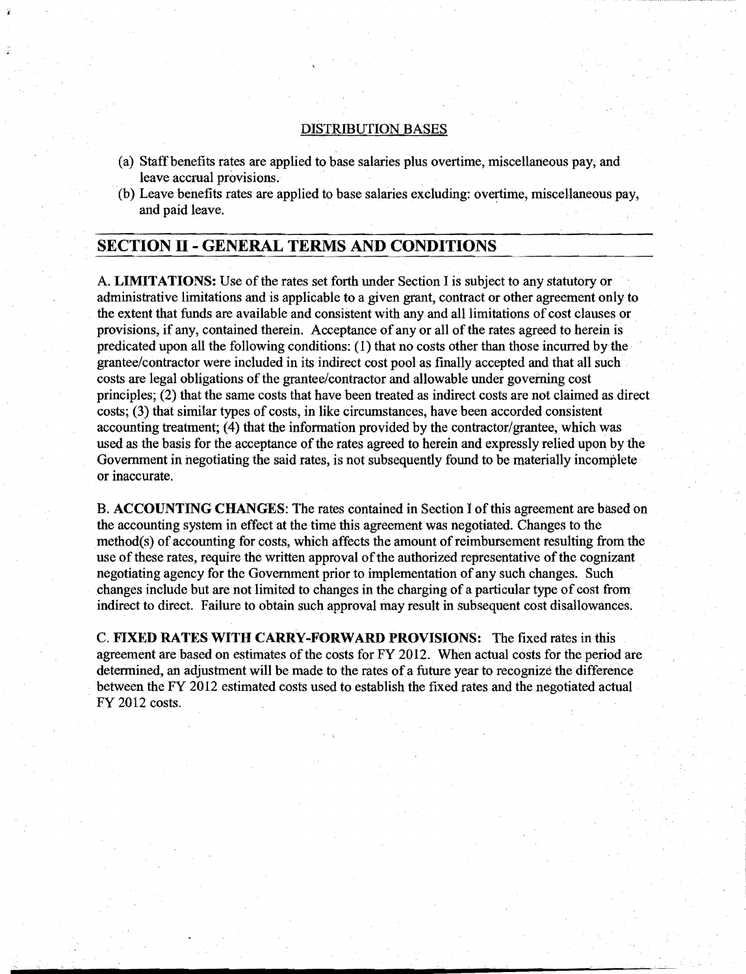#### DISTRIBUTION BASES

- (a) Staff benefits rates are applied to base salaries plus overtime, miscellaneous pay, and leave accrual provisions.
- (b) Leave benefits rates are applied to base salaries excluding: overtime, miscellaneous pay, and paid leave. .

## SECTION II - GENERAL TERMS AND CONDITIONS

A. LIMITATIONS: Use ofthe rates set forth under Section I is subject to any statutory or administrative limitations and is applicable to a given grant, contract or other agreement onlyto the extent that funds are available and consistent with any and all limitations of cost clauses or . provisions, if any, contained therein. Acceptance of any or all of the rates agreed to herein is predicated upon all the following conditions: (1) that no costs other than those incurred bythe grantee/contractor were included in its indirect cost pool as finally accepted and that all such costs are legal obligations of the grantee/contractor and allowable under governing cost principles; (2) that the same costs that have been treated as indirect costs are not claimed as direct costs; (3) that similar types of costs, in like circumstances, have been accorded consistent accounting treatment; (4) that the information provided by the contractor/grantee, which was used as the basis for the acceptance of the rates agreed to herein and expressly relied upon by the Government in negotiating the said rates, is not subsequently found to be materially incomplete or inaccurate.

B. ACCOUNTING CHANGES: The rates contained in Section I of this agreement are based on the accounting system in effect at the time this agreement was negotiated. Changes to the  $method(s)$  of accounting for costs, which affects the amount of reimbursement resulting from the use of these rates, require the written approval of the authorized representative of the cognizant negotiating agency for the Government prior to implementation of any such changes. Such changes include but are not limited to changes in the charging of a particular type of cost from indirect to direct. Failure to obtain such approval may result in subsequent cost disallowances.

C. FIXED RATES WITH CARRY-FORWARD PROVISIONS: The fixed rates in this agreement are based on estimates of the costs for  $FY$  2012. When actual costs for the period are determined, an adjustment will be made to the rates of a future year to recognize the difference between the FY 2012 estimated costs used to establish the fixed rates and the negotiated actual FY 2012 costs.